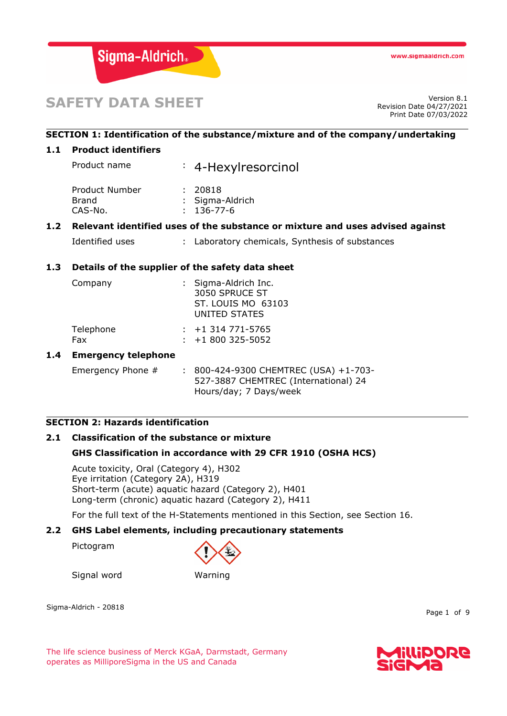

# **SAFETY DATA SHEET** Version 8.1

Revision Date 04/27/2021 Print Date 07/03/2022

# **SECTION 1: Identification of the substance/mixture and of the company/undertaking**

## **1.1 Product identifiers**

Product name : 4-Hexylresorcinol Product Number : 20818 Brand : Sigma-Aldrich CAS-No. : 136-77-6

## **1.2 Relevant identified uses of the substance or mixture and uses advised against**

Identified uses : Laboratory chemicals, Synthesis of substances

## **1.3 Details of the supplier of the safety data sheet**

| Company          | : Sigma-Aldrich Inc.<br>3050 SPRUCE ST<br>ST. LOUIS MO 63103<br>UNITED STATES |
|------------------|-------------------------------------------------------------------------------|
| Telephone<br>Fax | $: +1$ 314 771-5765<br>$: +1800325 - 5052$                                    |

## **1.4 Emergency telephone**

Emergency Phone # : 800-424-9300 CHEMTREC (USA) +1-703-527-3887 CHEMTREC (International) 24 Hours/day; 7 Days/week

## **SECTION 2: Hazards identification**

# **2.1 Classification of the substance or mixture**

## **GHS Classification in accordance with 29 CFR 1910 (OSHA HCS)**

Acute toxicity, Oral (Category 4), H302 Eye irritation (Category 2A), H319 Short-term (acute) aquatic hazard (Category 2), H401 Long-term (chronic) aquatic hazard (Category 2), H411

For the full text of the H-Statements mentioned in this Section, see Section 16.

# **2.2 GHS Label elements, including precautionary statements**

Pictogram



Signal word Warning

Sigma-Aldrich - 20818

Page 1 of 9

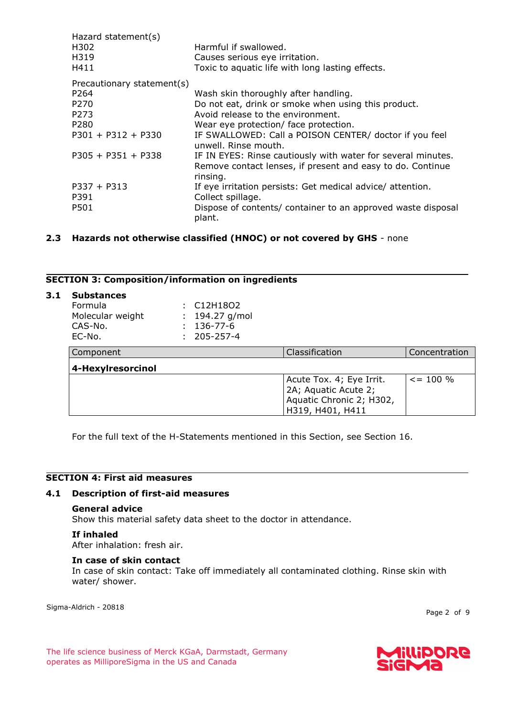| Hazard statement(s)        |                                                                                                                                        |
|----------------------------|----------------------------------------------------------------------------------------------------------------------------------------|
| H302                       | Harmful if swallowed.                                                                                                                  |
| H319                       | Causes serious eye irritation.                                                                                                         |
| H411                       | Toxic to aquatic life with long lasting effects.                                                                                       |
| Precautionary statement(s) |                                                                                                                                        |
| P <sub>264</sub>           | Wash skin thoroughly after handling.                                                                                                   |
| P <sub>270</sub>           | Do not eat, drink or smoke when using this product.                                                                                    |
| P273                       | Avoid release to the environment.                                                                                                      |
| P <sub>280</sub>           | Wear eye protection/ face protection.                                                                                                  |
| $P301 + P312 + P330$       | IF SWALLOWED: Call a POISON CENTER/ doctor if you feel<br>unwell. Rinse mouth.                                                         |
| $P305 + P351 + P338$       | IF IN EYES: Rinse cautiously with water for several minutes.<br>Remove contact lenses, if present and easy to do. Continue<br>rinsing. |
| $P337 + P313$              | If eye irritation persists: Get medical advice/ attention.                                                                             |
| P391                       | Collect spillage.                                                                                                                      |
| P501                       | Dispose of contents/ container to an approved waste disposal<br>plant.                                                                 |

# **2.3 Hazards not otherwise classified (HNOC) or not covered by GHS** - none

#### **SECTION 3: Composition/information on ingredients**

| 3.1 | <b>Substances</b><br><b>Formula</b><br>Molecular weight<br>CAS-No.<br>EC-No. | ÷. | C <sub>12</sub> H <sub>18</sub> O <sub>2</sub><br>194.27 g/mol<br>136-77-6<br>205-257-4 |                                                                                                  |                |
|-----|------------------------------------------------------------------------------|----|-----------------------------------------------------------------------------------------|--------------------------------------------------------------------------------------------------|----------------|
|     | Component                                                                    |    |                                                                                         | Classification                                                                                   | Concentration  |
|     | 4-Hexylresorcinol                                                            |    |                                                                                         |                                                                                                  |                |
|     |                                                                              |    |                                                                                         | Acute Tox. 4; Eye Irrit.<br>2A; Aquatic Acute 2;<br>Aquatic Chronic 2; H302,<br>H319, H401, H411 | $\leq$ = 100 % |

For the full text of the H-Statements mentioned in this Section, see Section 16.

#### **SECTION 4: First aid measures**

#### **4.1 Description of first-aid measures**

#### **General advice**

Show this material safety data sheet to the doctor in attendance.

#### **If inhaled**

After inhalation: fresh air.

#### **In case of skin contact**

In case of skin contact: Take off immediately all contaminated clothing. Rinse skin with water/ shower.

Sigma-Aldrich - 20818

Page 2 of 9

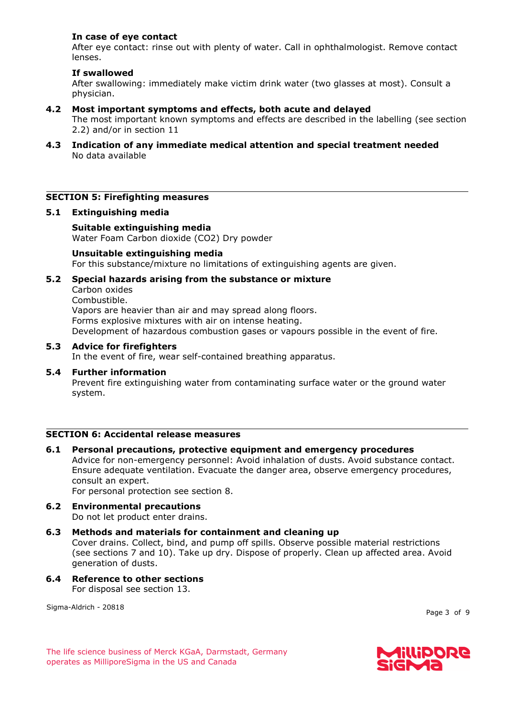## **In case of eye contact**

After eye contact: rinse out with plenty of water. Call in ophthalmologist. Remove contact lenses.

## **If swallowed**

After swallowing: immediately make victim drink water (two glasses at most). Consult a physician.

## **4.2 Most important symptoms and effects, both acute and delayed**

The most important known symptoms and effects are described in the labelling (see section 2.2) and/or in section 11

**4.3 Indication of any immediate medical attention and special treatment needed** No data available

#### **SECTION 5: Firefighting measures**

#### **5.1 Extinguishing media**

**Suitable extinguishing media** Water Foam Carbon dioxide (CO2) Dry powder

#### **Unsuitable extinguishing media**

For this substance/mixture no limitations of extinguishing agents are given.

#### **5.2 Special hazards arising from the substance or mixture**

Carbon oxides Combustible. Vapors are heavier than air and may spread along floors. Forms explosive mixtures with air on intense heating.

Development of hazardous combustion gases or vapours possible in the event of fire.

#### **5.3 Advice for firefighters**

In the event of fire, wear self-contained breathing apparatus.

**5.4 Further information** Prevent fire extinguishing water from contaminating surface water or the ground water system.

# **SECTION 6: Accidental release measures**

- **6.1 Personal precautions, protective equipment and emergency procedures** Advice for non-emergency personnel: Avoid inhalation of dusts. Avoid substance contact. Ensure adequate ventilation. Evacuate the danger area, observe emergency procedures, consult an expert. For personal protection see section 8.
- **6.2 Environmental precautions** Do not let product enter drains.
- **6.3 Methods and materials for containment and cleaning up** Cover drains. Collect, bind, and pump off spills. Observe possible material restrictions (see sections 7 and 10). Take up dry. Dispose of properly. Clean up affected area. Avoid generation of dusts.
- **6.4 Reference to other sections** For disposal see section 13.

Sigma-Aldrich - 20818

Page 3 of 9

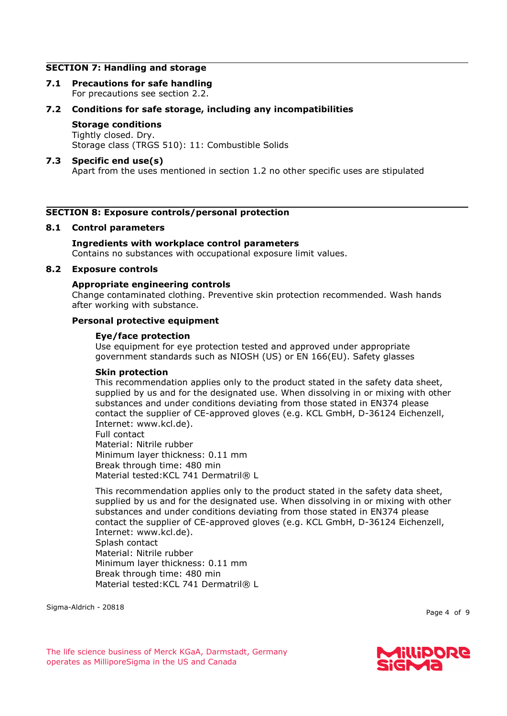#### **SECTION 7: Handling and storage**

**7.1 Precautions for safe handling** For precautions see section 2.2.

## **7.2 Conditions for safe storage, including any incompatibilities**

# **Storage conditions**

Tightly closed. Dry. Storage class (TRGS 510): 11: Combustible Solids

## **7.3 Specific end use(s)**

Apart from the uses mentioned in section 1.2 no other specific uses are stipulated

## **SECTION 8: Exposure controls/personal protection**

#### **8.1 Control parameters**

## **Ingredients with workplace control parameters**

Contains no substances with occupational exposure limit values.

### **8.2 Exposure controls**

#### **Appropriate engineering controls**

Change contaminated clothing. Preventive skin protection recommended. Wash hands after working with substance.

## **Personal protective equipment**

#### **Eye/face protection**

Use equipment for eye protection tested and approved under appropriate government standards such as NIOSH (US) or EN 166(EU). Safety glasses

#### **Skin protection**

This recommendation applies only to the product stated in the safety data sheet, supplied by us and for the designated use. When dissolving in or mixing with other substances and under conditions deviating from those stated in EN374 please contact the supplier of CE-approved gloves (e.g. KCL GmbH, D-36124 Eichenzell, Internet: www.kcl.de).

Full contact Material: Nitrile rubber Minimum layer thickness: 0.11 mm Break through time: 480 min Material tested: KCL 741 Dermatril® L

This recommendation applies only to the product stated in the safety data sheet, supplied by us and for the designated use. When dissolving in or mixing with other substances and under conditions deviating from those stated in EN374 please contact the supplier of CE-approved gloves (e.g. KCL GmbH, D-36124 Eichenzell, Internet: www.kcl.de). Splash contact Material: Nitrile rubber Minimum layer thickness: 0.11 mm Break through time: 480 min Material tested: KCL 741 Dermatril® L

Sigma-Aldrich - 20818

Page 4 of 9

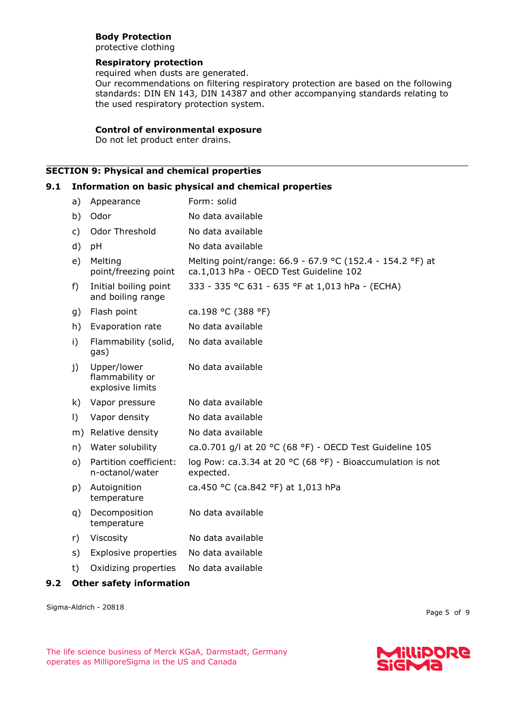# **Body Protection**

protective clothing

## **Respiratory protection**

required when dusts are generated.

Our recommendations on filtering respiratory protection are based on the following standards: DIN EN 143, DIN 14387 and other accompanying standards relating to the used respiratory protection system.

## **Control of environmental exposure**

Do not let product enter drains.

## **SECTION 9: Physical and chemical properties**

## **9.1 Information on basic physical and chemical properties**

| a)           | Appearance                                         | Form: solid                                                                                         |
|--------------|----------------------------------------------------|-----------------------------------------------------------------------------------------------------|
| b)           | Odor                                               | No data available                                                                                   |
| $\mathsf{C}$ | Odor Threshold                                     | No data available                                                                                   |
| d)           | pH                                                 | No data available                                                                                   |
| e)           | Melting<br>point/freezing point                    | Melting point/range: 66.9 - 67.9 °C (152.4 - 154.2 °F) at<br>ca.1,013 hPa - OECD Test Guideline 102 |
| $f$ )        | Initial boiling point<br>and boiling range         | 333 - 335 °C 631 - 635 °F at 1,013 hPa - (ECHA)                                                     |
| g)           | Flash point                                        | ca.198 °C (388 °F)                                                                                  |
| h)           | Evaporation rate                                   | No data available                                                                                   |
| i)           | Flammability (solid,<br>gas)                       | No data available                                                                                   |
| j)           | Upper/lower<br>flammability or<br>explosive limits | No data available                                                                                   |
| k)           | Vapor pressure                                     | No data available                                                                                   |
| $\vert$ )    | Vapor density                                      | No data available                                                                                   |
| m)           | Relative density                                   | No data available                                                                                   |
| n)           | Water solubility                                   | ca.0.701 g/l at 20 °C (68 °F) - OECD Test Guideline 105                                             |
| $\circ$ )    | Partition coefficient:<br>n-octanol/water          | log Pow: ca.3.34 at 20 °C (68 °F) - Bioaccumulation is not<br>expected.                             |
| p)           | Autoignition<br>temperature                        | ca.450 °C (ca.842 °F) at 1,013 hPa                                                                  |
| q)           | Decomposition<br>temperature                       | No data available                                                                                   |
| r)           | Viscosity                                          | No data available                                                                                   |
| s)           | <b>Explosive properties</b>                        | No data available                                                                                   |
| t)           | Oxidizing properties                               | No data available                                                                                   |
|              |                                                    |                                                                                                     |

## **9.2 Other safety information**

Sigma-Aldrich - 20818

Page 5 of 9

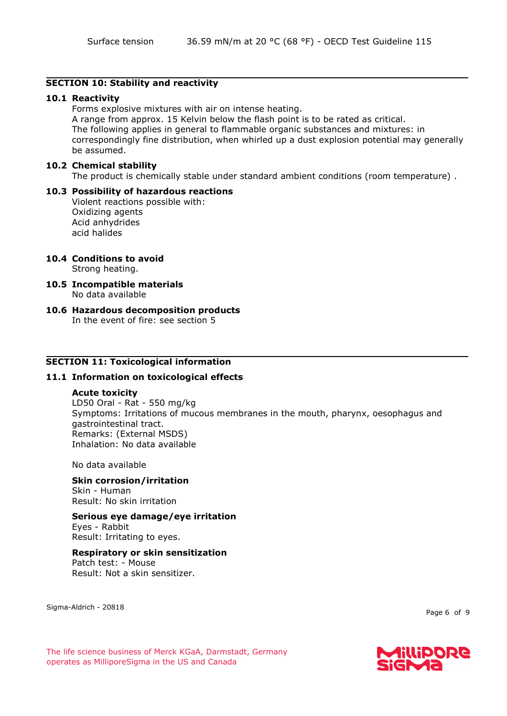## **SECTION 10: Stability and reactivity**

## **10.1 Reactivity**

Forms explosive mixtures with air on intense heating. A range from approx. 15 Kelvin below the flash point is to be rated as critical. The following applies in general to flammable organic substances and mixtures: in correspondingly fine distribution, when whirled up a dust explosion potential may generally be assumed.

## **10.2 Chemical stability**

The product is chemically stable under standard ambient conditions (room temperature) .

#### **10.3 Possibility of hazardous reactions** Violent reactions possible with: Oxidizing agents Acid anhydrides acid halides

# **10.4 Conditions to avoid**

Strong heating.

- **10.5 Incompatible materials** No data available
- **10.6 Hazardous decomposition products** In the event of fire: see section 5

# **SECTION 11: Toxicological information**

## **11.1 Information on toxicological effects**

## **Acute toxicity**

LD50 Oral - Rat - 550 mg/kg Symptoms: Irritations of mucous membranes in the mouth, pharynx, oesophagus and gastrointestinal tract. Remarks: (External MSDS) Inhalation: No data available

No data available

#### **Skin corrosion/irritation** Skin - Human Result: No skin irritation

# **Serious eye damage/eye irritation**

Eyes - Rabbit Result: Irritating to eyes.

## **Respiratory or skin sensitization**

Patch test: - Mouse Result: Not a skin sensitizer.

Sigma-Aldrich - 20818

Page 6 of 9

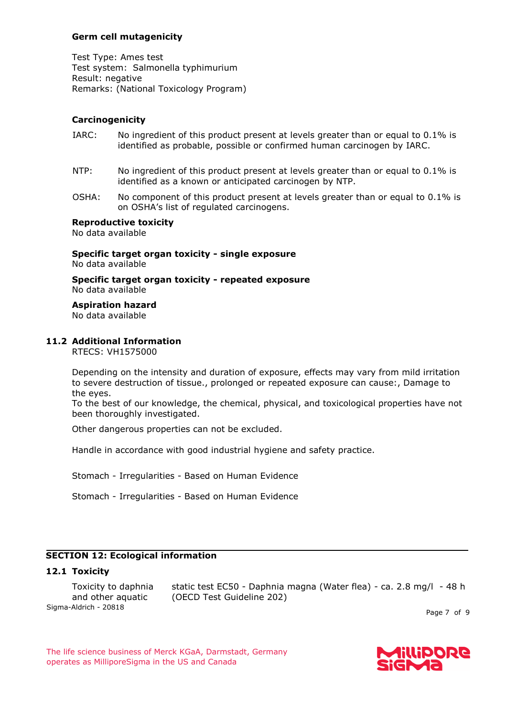## **Germ cell mutagenicity**

Test Type: Ames test Test system: Salmonella typhimurium Result: negative Remarks: (National Toxicology Program)

# **Carcinogenicity**

- IARC: No ingredient of this product present at levels greater than or equal to 0.1% is identified as probable, possible or confirmed human carcinogen by IARC.
- NTP: No ingredient of this product present at levels greater than or equal to 0.1% is identified as a known or anticipated carcinogen by NTP.
- OSHA: No component of this product present at levels greater than or equal to 0.1% is on OSHA's list of regulated carcinogens.

#### **Reproductive toxicity** No data available

**Specific target organ toxicity - single exposure** No data available

**Specific target organ toxicity - repeated exposure** No data available

**Aspiration hazard**

No data available

## **11.2 Additional Information**

RTECS: VH1575000

Depending on the intensity and duration of exposure, effects may vary from mild irritation to severe destruction of tissue., prolonged or repeated exposure can cause:, Damage to the eyes.

To the best of our knowledge, the chemical, physical, and toxicological properties have not been thoroughly investigated.

Other dangerous properties can not be excluded.

Handle in accordance with good industrial hygiene and safety practice.

Stomach - Irregularities - Based on Human Evidence

Stomach - Irregularities - Based on Human Evidence

# **SECTION 12: Ecological information**

## **12.1 Toxicity**

Sigma-Aldrich - 20818 Toxicity to daphnia and other aquatic static test EC50 - Daphnia magna (Water flea) - ca. 2.8 mg/l - 48 h (OECD Test Guideline 202)

Page 7 of 9

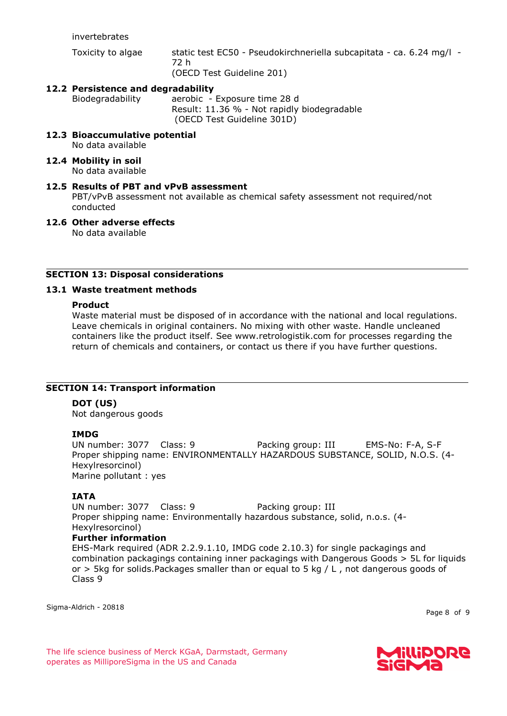invertebrates

Toxicity to algae static test EC50 - Pseudokirchneriella subcapitata - ca. 6.24 mg/l - 72 h (OECD Test Guideline 201)

**12.2 Persistence and degradability**

Biodegradability aerobic - Exposure time 28 d Result: 11.36 % - Not rapidly biodegradable (OECD Test Guideline 301D)

- **12.3 Bioaccumulative potential** No data available
- **12.4 Mobility in soil** No data available
- **12.5 Results of PBT and vPvB assessment** PBT/vPvB assessment not available as chemical safety assessment not required/not conducted
- **12.6 Other adverse effects**

No data available

# **SECTION 13: Disposal considerations**

# **13.1 Waste treatment methods**

## **Product**

Waste material must be disposed of in accordance with the national and local regulations. Leave chemicals in original containers. No mixing with other waste. Handle uncleaned containers like the product itself. See www.retrologistik.com for processes regarding the return of chemicals and containers, or contact us there if you have further questions.

# **SECTION 14: Transport information**

# **DOT (US)**

Not dangerous goods

# **IMDG**

UN number: 3077 Class: 9 Packing group: III EMS-No: F-A, S-F Proper shipping name: ENVIRONMENTALLY HAZARDOUS SUBSTANCE, SOLID, N.O.S. (4- Hexylresorcinol) Marine pollutant : yes

# **IATA**

UN number: 3077 Class: 9 Packing group: III Proper shipping name: Environmentally hazardous substance, solid, n.o.s. (4- Hexylresorcinol) **Further information** EHS-Mark required (ADR 2.2.9.1.10, IMDG code 2.10.3) for single packagings and combination packagings containing inner packagings with Dangerous Goods > 5L for liquids or  $>$  5kg for solids. Packages smaller than or equal to 5 kg  $/$  L, not dangerous goods of Class 9

Sigma-Aldrich - 20818

Page 8 of 9